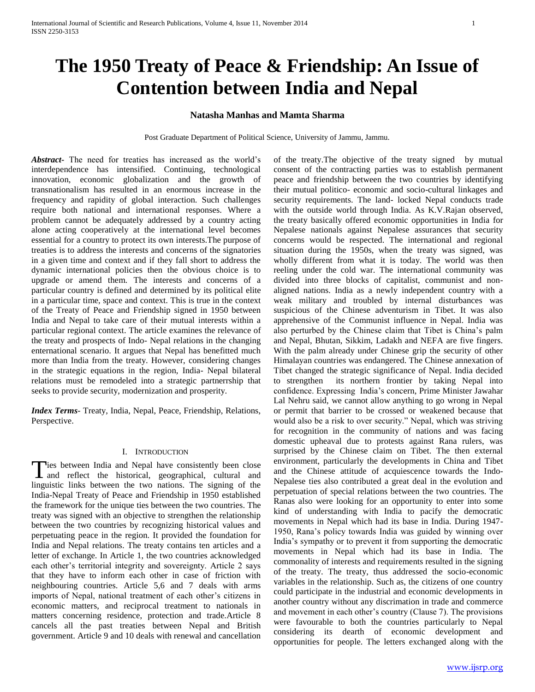# **The 1950 Treaty of Peace & Friendship: An Issue of Contention between India and Nepal**

## **Natasha Manhas and Mamta Sharma**

Post Graduate Department of Political Science, University of Jammu, Jammu.

*Abstract***-** The need for treaties has increased as the world"s interdependence has intensified. Continuing, technological innovation, economic globalization and the growth of transnationalism has resulted in an enormous increase in the frequency and rapidity of global interaction. Such challenges require both national and international responses. Where a problem cannot be adequately addressed by a country acting alone acting cooperatively at the international level becomes essential for a country to protect its own interests.The purpose of treaties is to address the interests and concerns of the signatories in a given time and context and if they fall short to address the dynamic international policies then the obvious choice is to upgrade or amend them. The interests and concerns of a particular country is defined and determined by its political elite in a particular time, space and context. This is true in the context of the Treaty of Peace and Friendship signed in 1950 between India and Nepal to take care of their mutual interests within a particular regional context. The article examines the relevance of the treaty and prospects of Indo- Nepal relations in the changing enternational scenario. It argues that Nepal has benefitted much more than India from the treaty. However, considering changes in the strategic equations in the region, India- Nepal bilateral relations must be remodeled into a strategic partnerrship that seeks to provide security, modernization and prosperity.

*Index Terms*- Treaty, India, Nepal, Peace, Friendship, Relations, Perspective.

## I. INTRODUCTION

ies between India and Nepal have consistently been close Ties between India and Nepal have consistently been close<br>and reflect the historical, geographical, cultural and linguistic links between the two nations. The signing of the India-Nepal Treaty of Peace and Friendship in 1950 established the framework for the unique ties between the two countries. The treaty was signed with an objective to strengthen the relationship between the two countries by recognizing historical values and perpetuating peace in the region. It provided the foundation for India and Nepal relations. The treaty contains ten articles and a letter of exchange. In Article 1, the two countries acknowledged each other"s territorial integrity and sovereignty. Article 2 says that they have to inform each other in case of friction with neighbouring countries. Article 5,6 and 7 deals with arms imports of Nepal, national treatment of each other's citizens in economic matters, and reciprocal treatment to nationals in matters concerning residence, protection and trade.Article 8 cancels all the past treaties between Nepal and British government. Article 9 and 10 deals with renewal and cancellation

of the treaty.The objective of the treaty signed by mutual consent of the contracting parties was to establish permanent peace and friendship between the two countries by identifying their mutual politico- economic and socio-cultural linkages and security requirements. The land- locked Nepal conducts trade with the outside world through India. As K.V.Rajan observed, the treaty basically offered economic opportunities in India for Nepalese nationals against Nepalese assurances that security concerns would be respected. The international and regional situation during the 1950s, when the treaty was signed, was wholly different from what it is today. The world was then reeling under the cold war. The international community was divided into three blocks of capitalist, communist and nonaligned nations. India as a newly independent country with a weak military and troubled by internal disturbances was suspicious of the Chinese adventurism in Tibet. It was also apprehensive of the Communist influence in Nepal. India was also perturbed by the Chinese claim that Tibet is China"s palm and Nepal, Bhutan, Sikkim, Ladakh and NEFA are five fingers. With the palm already under Chinese grip the security of other Himalayan countries was endangered. The Chinese annexation of Tibet changed the strategic significance of Nepal. India decided to strengthen its northern frontier by taking Nepal into confidence. Expressing India"s concern, Prime Minister Jawahar Lal Nehru said, we cannot allow anything to go wrong in Nepal or permit that barrier to be crossed or weakened because that would also be a risk to over security." Nepal, which was striving for recognition in the community of nations and was facing domestic upheaval due to protests against Rana rulers, was surprised by the Chinese claim on Tibet. The then external environment, particularly the developments in China and Tibet and the Chinese attitude of acquiescence towards the Indo-Nepalese ties also contributed a great deal in the evolution and perpetuation of special relations between the two countries. The Ranas also were looking for an opportunity to enter into some kind of understanding with India to pacify the democratic movements in Nepal which had its base in India. During 1947- 1950, Rana"s policy towards India was guided by winning over India"s sympathy or to prevent it from supporting the democratic movements in Nepal which had its base in India. The commonality of interests and requirements resulted in the signing of the treaty. The treaty, thus addressed the socio-economic variables in the relationship. Such as, the citizens of one country could participate in the industrial and economic developments in another country without any discrimation in trade and commerce and movement in each other's country (Clause 7). The provisions were favourable to both the countries particularly to Nepal considering its dearth of economic development and opportunities for people. The letters exchanged along with the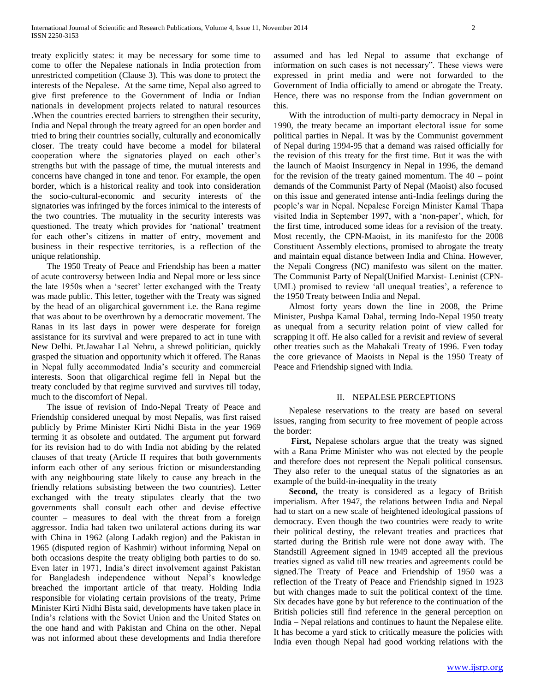treaty explicitly states: it may be necessary for some time to come to offer the Nepalese nationals in India protection from unrestricted competition (Clause 3). This was done to protect the interests of the Nepalese. At the same time, Nepal also agreed to give first preference to the Government of India or Indian nationals in development projects related to natural resources .When the countries erected barriers to strengthen their security, India and Nepal through the treaty agreed for an open border and tried to bring their countries socially, culturally and economically closer. The treaty could have become a model for bilateral cooperation where the signatories played on each other"s strengths but with the passage of time, the mutual interests and concerns have changed in tone and tenor. For example, the open border, which is a historical reality and took into consideration the socio-cultural-economic and security interests of the signatories was infringed by the forces inimical to the interests of the two countries. The mutuality in the security interests was questioned. The treaty which provides for 'national' treatment for each other"s citizens in matter of entry, movement and business in their respective territories, is a reflection of the unique relationship.

 The 1950 Treaty of Peace and Friendship has been a matter of acute controversy between India and Nepal more or less since the late 1950s when a 'secret' letter exchanged with the Treaty was made public. This letter, together with the Treaty was signed by the head of an oligarchical government i.e. the Rana regime that was about to be overthrown by a democratic movement. The Ranas in its last days in power were desperate for foreign assistance for its survival and were prepared to act in tune with New Delhi. Pt.Jawahar Lal Nehru, a shrewd politician, quickly grasped the situation and opportunity which it offered. The Ranas in Nepal fully accommodated India"s security and commercial interests. Soon that oligarchical regime fell in Nepal but the treaty concluded by that regime survived and survives till today, much to the discomfort of Nepal.

 The issue of revision of Indo-Nepal Treaty of Peace and Friendship considered unequal by most Nepalis, was first raised publicly by Prime Minister Kirti Nidhi Bista in the year 1969 terming it as obsolete and outdated. The argument put forward for its revision had to do with India not abiding by the related clauses of that treaty (Article II requires that both governments inform each other of any serious friction or misunderstanding with any neighbouring state likely to cause any breach in the friendly relations subsisting between the two countries). Letter exchanged with the treaty stipulates clearly that the two governments shall consult each other and devise effective counter – measures to deal with the threat from a foreign aggressor. India had taken two unilateral actions during its war with China in 1962 (along Ladakh region) and the Pakistan in 1965 (disputed region of Kashmir) without informing Nepal on both occasions despite the treaty obliging both parties to do so. Even later in 1971, India"s direct involvement against Pakistan for Bangladesh independence without Nepal"s knowledge breached the important article of that treaty. Holding India responsible for violating certain provisions of the treaty, Prime Minister Kirti Nidhi Bista said, developments have taken place in India"s relations with the Soviet Union and the United States on the one hand and with Pakistan and China on the other. Nepal was not informed about these developments and India therefore

assumed and has led Nepal to assume that exchange of information on such cases is not necessary". These views were expressed in print media and were not forwarded to the Government of India officially to amend or abrogate the Treaty. Hence, there was no response from the Indian government on this.

 With the introduction of multi-party democracy in Nepal in 1990, the treaty became an important electoral issue for some political parties in Nepal. It was by the Communist government of Nepal during 1994-95 that a demand was raised officially for the revision of this treaty for the first time. But it was the with the launch of Maoist Insurgency in Nepal in 1996, the demand for the revision of the treaty gained momentum. The 40 – point demands of the Communist Party of Nepal (Maoist) also focused on this issue and generated intense anti-India feelings during the people"s war in Nepal. Nepalese Foreign Minister Kamal Thapa visited India in September 1997, with a "non-paper", which, for the first time, introduced some ideas for a revision of the treaty. Most recently, the CPN-Maoist, in its manifesto for the 2008 Constituent Assembly elections, promised to abrogate the treaty and maintain equal distance between India and China. However, the Nepali Congress (NC) manifesto was silent on the matter. The Communist Party of Nepal(Unified Marxist- Leninist (CPN-UML) promised to review 'all unequal treaties', a reference to the 1950 Treaty between India and Nepal.

 Almost forty years down the line in 2008, the Prime Minister, Pushpa Kamal Dahal, terming Indo-Nepal 1950 treaty as unequal from a security relation point of view called for scrapping it off. He also called for a revisit and review of several other treaties such as the Mahakali Treaty of 1996. Even today the core grievance of Maoists in Nepal is the 1950 Treaty of Peace and Friendship signed with India.

### II. NEPALESE PERCEPTIONS

 Nepalese reservations to the treaty are based on several issues, ranging from security to free movement of people across the border:

 **First,** Nepalese scholars argue that the treaty was signed with a Rana Prime Minister who was not elected by the people and therefore does not represent the Nepali political consensus. They also refer to the unequal status of the signatories as an example of the build-in-inequality in the treaty

Second, the treaty is considered as a legacy of British imperialism. After 1947, the relations between India and Nepal had to start on a new scale of heightened ideological passions of democracy. Even though the two countries were ready to write their political destiny, the relevant treaties and practices that started during the British rule were not done away with. The Standstill Agreement signed in 1949 accepted all the previous treaties signed as valid till new treaties and agreements could be signed.The Treaty of Peace and Friendship of 1950 was a reflection of the Treaty of Peace and Friendship signed in 1923 but with changes made to suit the political context of the time. Six decades have gone by but reference to the continuation of the British policies still find reference in the general perception on India – Nepal relations and continues to haunt the Nepalese elite. It has become a yard stick to critically measure the policies with India even though Nepal had good working relations with the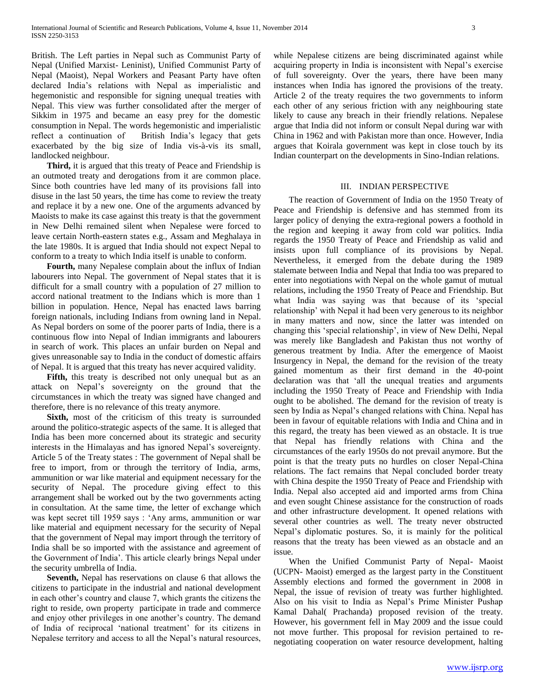British. The Left parties in Nepal such as Communist Party of Nepal (Unified Marxist- Leninist), Unified Communist Party of Nepal (Maoist), Nepal Workers and Peasant Party have often declared India"s relations with Nepal as imperialistic and hegemonistic and responsible for signing unequal treaties with Nepal. This view was further consolidated after the merger of Sikkim in 1975 and became an easy prey for the domestic consumption in Nepal. The words hegemonistic and imperialistic reflect a continuation of British India"s legacy that gets exacerbated by the big size of India vis-à-vis its small, landlocked neighbour.

 **Third,** it is argued that this treaty of Peace and Friendship is an outmoted treaty and derogations from it are common place. Since both countries have led many of its provisions fall into disuse in the last 50 years, the time has come to review the treaty and replace it by a new one. One of the arguments advanced by Maoists to make its case against this treaty is that the government in New Delhi remained silent when Nepalese were forced to leave certain North-eastern states e.g., Assam and Meghalaya in the late 1980s. It is argued that India should not expect Nepal to conform to a treaty to which India itself is unable to conform.

 **Fourth,** many Nepalese complain about the influx of Indian labourers into Nepal. The government of Nepal states that it is difficult for a small country with a population of 27 million to accord national treatment to the Indians which is more than 1 billion in population. Hence, Nepal has enacted laws barring foreign nationals, including Indians from owning land in Nepal. As Nepal borders on some of the poorer parts of India, there is a continuous flow into Nepal of Indian immigrants and labourers in search of work. This places an unfair burden on Nepal and gives unreasonable say to India in the conduct of domestic affairs of Nepal. It is argued that this treaty has never acquired validity.

Fifth, this treaty is described not only unequal but as an attack on Nepal"s sovereignty on the ground that the circumstances in which the treaty was signed have changed and therefore, there is no relevance of this treaty anymore.

Sixth, most of the criticism of this treaty is surrounded around the politico-strategic aspects of the same. It is alleged that India has been more concerned about its strategic and security interests in the Himalayas and has ignored Nepal"s sovereignty. Article 5 of the Treaty states : The government of Nepal shall be free to import, from or through the territory of India, arms, ammunition or war like material and equipment necessary for the security of Nepal. The procedure giving effect to this arrangement shall be worked out by the two governments acting in consultation. At the same time, the letter of exchange which was kept secret till 1959 says : "Any arms, ammunition or war like material and equipment necessary for the security of Nepal that the government of Nepal may import through the territory of India shall be so imported with the assistance and agreement of the Government of India". This article clearly brings Nepal under the security umbrella of India.

 **Seventh,** Nepal has reservations on clause 6 that allows the citizens to participate in the industrial and national development in each other"s country and clause 7, which grants the citizens the right to reside, own property participate in trade and commerce and enjoy other privileges in one another's country. The demand of India of reciprocal "national treatment" for its citizens in Nepalese territory and access to all the Nepal"s natural resources,

while Nepalese citizens are being discriminated against while acquiring property in India is inconsistent with Nepal"s exercise of full sovereignty. Over the years, there have been many instances when India has ignored the provisions of the treaty. Article 2 of the treaty requires the two governments to inform each other of any serious friction with any neighbouring state likely to cause any breach in their friendly relations. Nepalese argue that India did not inform or consult Nepal during war with China in 1962 and with Pakistan more than once. However, India argues that Koirala government was kept in close touch by its Indian counterpart on the developments in Sino-Indian relations.

### III. INDIAN PERSPECTIVE

 The reaction of Government of India on the 1950 Treaty of Peace and Friendship is defensive and has stemmed from its larger policy of denying the extra-regional powers a foothold in the region and keeping it away from cold war politics. India regards the 1950 Treaty of Peace and Friendship as valid and insists upon full compliance of its provisions by Nepal. Nevertheless, it emerged from the debate during the 1989 stalemate between India and Nepal that India too was prepared to enter into negotiations with Nepal on the whole gamut of mutual relations, including the 1950 Treaty of Peace and Friendship. But what India was saying was that because of its "special relationship" with Nepal it had been very generous to its neighbor in many matters and now, since the latter was intended on changing this "special relationship", in view of New Delhi, Nepal was merely like Bangladesh and Pakistan thus not worthy of generous treatment by India. After the emergence of Maoist Insurgency in Nepal, the demand for the revision of the treaty gained momentum as their first demand in the 40-point declaration was that "all the unequal treaties and arguments including the 1950 Treaty of Peace and Friendship with India ought to be abolished. The demand for the revision of treaty is seen by India as Nepal"s changed relations with China. Nepal has been in favour of equitable relations with India and China and in this regard, the treaty has been viewed as an obstacle. It is true that Nepal has friendly relations with China and the circumstances of the early 1950s do not prevail anymore. But the point is that the treaty puts no hurdles on closer Nepal-China relations. The fact remains that Nepal concluded border treaty with China despite the 1950 Treaty of Peace and Friendship with India. Nepal also accepted aid and imported arms from China and even sought Chinese assistance for the construction of roads and other infrastructure development. It opened relations with several other countries as well. The treaty never obstructed Nepal"s diplomatic postures. So, it is mainly for the political reasons that the treaty has been viewed as an obstacle and an issue.

 When the Unified Communist Party of Nepal- Maoist (UCPN- Maoist) emerged as the largest party in the Constituent Assembly elections and formed the government in 2008 in Nepal, the issue of revision of treaty was further highlighted. Also on his visit to India as Nepal"s Prime Minister Pushap Kamal Dahal( Prachanda) proposed revision of the treaty. However, his government fell in May 2009 and the issue could not move further. This proposal for revision pertained to renegotiating cooperation on water resource development, halting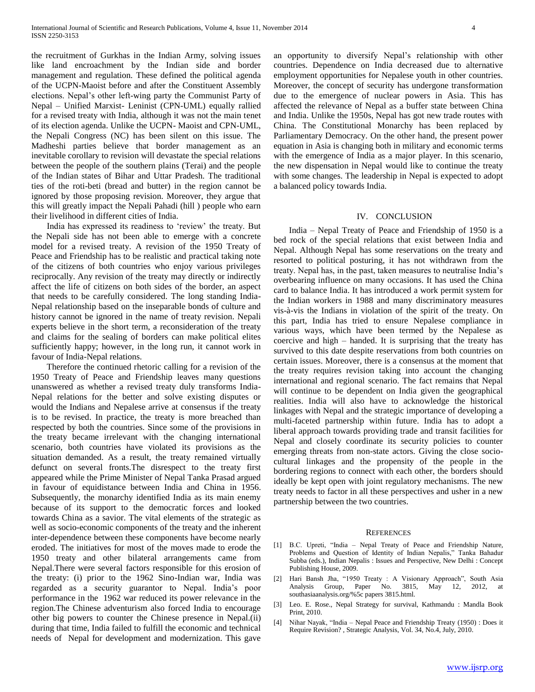the recruitment of Gurkhas in the Indian Army, solving issues like land encroachment by the Indian side and border management and regulation. These defined the political agenda of the UCPN-Maoist before and after the Constituent Assembly elections. Nepal"s other left-wing party the Communist Party of Nepal – Unified Marxist- Leninist (CPN-UML) equally rallied for a revised treaty with India, although it was not the main tenet of its election agenda. Unlike the UCPN- Maoist and CPN-UML, the Nepali Congress (NC) has been silent on this issue. The Madheshi parties believe that border management as an inevitable corollary to revision will devastate the special relations between the people of the southern plains (Terai) and the people of the Indian states of Bihar and Uttar Pradesh. The traditional ties of the roti-beti (bread and butter) in the region cannot be ignored by those proposing revision. Moreover, they argue that this will greatly impact the Nepali Pahadi (hill ) people who earn their livelihood in different cities of India.

 India has expressed its readiness to "review" the treaty. But the Nepali side has not been able to emerge with a concrete model for a revised treaty. A revision of the 1950 Treaty of Peace and Friendship has to be realistic and practical taking note of the citizens of both countries who enjoy various privileges reciprocally. Any revision of the treaty may directly or indirectly affect the life of citizens on both sides of the border, an aspect that needs to be carefully considered. The long standing India-Nepal relationship based on the inseparable bonds of culture and history cannot be ignored in the name of treaty revision. Nepali experts believe in the short term, a reconsideration of the treaty and claims for the sealing of borders can make political elites sufficiently happy; however, in the long run, it cannot work in favour of India-Nepal relations.

 Therefore the continued rhetoric calling for a revision of the 1950 Treaty of Peace and Friendship leaves many questions unanswered as whether a revised treaty duly transforms India-Nepal relations for the better and solve existing disputes or would the Indians and Nepalese arrive at consensus if the treaty is to be revised. In practice, the treaty is more breached than respected by both the countries. Since some of the provisions in the treaty became irrelevant with the changing international scenario, both countries have violated its provisions as the situation demanded. As a result, the treaty remained virtually defunct on several fronts.The disrespect to the treaty first appeared while the Prime Minister of Nepal Tanka Prasad argued in favour of equidistance between India and China in 1956. Subsequently, the monarchy identified India as its main enemy because of its support to the democratic forces and looked towards China as a savior. The vital elements of the strategic as well as socio-economic components of the treaty and the inherent inter-dependence between these components have become nearly eroded. The initiatives for most of the moves made to erode the 1950 treaty and other bilateral arrangements came from Nepal.There were several factors responsible for this erosion of the treaty: (i) prior to the 1962 Sino-Indian war, India was regarded as a security guarantor to Nepal. India"s poor performance in the 1962 war reduced its power relevance in the region.The Chinese adventurism also forced India to encourage other big powers to counter the Chinese presence in Nepal.(ii) during that time, India failed to fulfill the economic and technical needs of Nepal for development and modernization. This gave

an opportunity to diversify Nepal"s relationship with other countries. Dependence on India decreased due to alternative employment opportunities for Nepalese youth in other countries. Moreover, the concept of security has undergone transformation due to the emergence of nuclear powers in Asia. This has affected the relevance of Nepal as a buffer state between China and India. Unlike the 1950s, Nepal has got new trade routes with China. The Constitutional Monarchy has been replaced by Parliamentary Democracy. On the other hand, the present power equation in Asia is changing both in military and economic terms with the emergence of India as a major player. In this scenario, the new dispensation in Nepal would like to continue the treaty with some changes. The leadership in Nepal is expected to adopt a balanced policy towards India.

### IV. CONCLUSION

 India – Nepal Treaty of Peace and Friendship of 1950 is a bed rock of the special relations that exist between India and Nepal. Although Nepal has some reservations on the treaty and resorted to political posturing, it has not withdrawn from the treaty. Nepal has, in the past, taken measures to neutralise India"s overbearing influence on many occasions. It has used the China card to balance India. It has introduced a work permit system for the Indian workers in 1988 and many discriminatory measures vis-à-vis the Indians in violation of the spirit of the treaty. On this part, India has tried to ensure Nepalese compliance in various ways, which have been termed by the Nepalese as coercive and high – handed. It is surprising that the treaty has survived to this date despite reservations from both countries on certain issues. Moreover, there is a consensus at the moment that the treaty requires revision taking into account the changing international and regional scenario. The fact remains that Nepal will continue to be dependent on India given the geographical realities. India will also have to acknowledge the historical linkages with Nepal and the strategic importance of developing a multi-faceted partnership within future. India has to adopt a liberal approach towards providing trade and transit facilities for Nepal and closely coordinate its security policies to counter emerging threats from non-state actors. Giving the close sociocultural linkages and the propensity of the people in the bordering regions to connect with each other, the borders should ideally be kept open with joint regulatory mechanisms. The new treaty needs to factor in all these perspectives and usher in a new partnership between the two countries.

#### **REFERENCES**

- [1] B.C. Upreti, "India Nepal Treaty of Peace and Friendship Nature, Problems and Question of Identity of Indian Nepalis," Tanka Bahadur Subba (eds.), Indian Nepalis : Issues and Perspective, New Delhi : Concept Publishing House, 2009.
- [2] Hari Bansh Jha, "1950 Treaty : A Visionary Approach", South Asia Analysis Group, Paper No. 3815, May 12, 2012, at southasiaanalysis.org/%5c papers 3815.html.
- [3] Leo. E. Rose., Nepal Strategy for survival, Kathmandu : Mandla Book Print, 2010.
- [4] Nihar Nayak, "India Nepal Peace and Friendship Treaty (1950) : Does it Require Revision? , Strategic Analysis, Vol. 34, No.4, July, 2010.